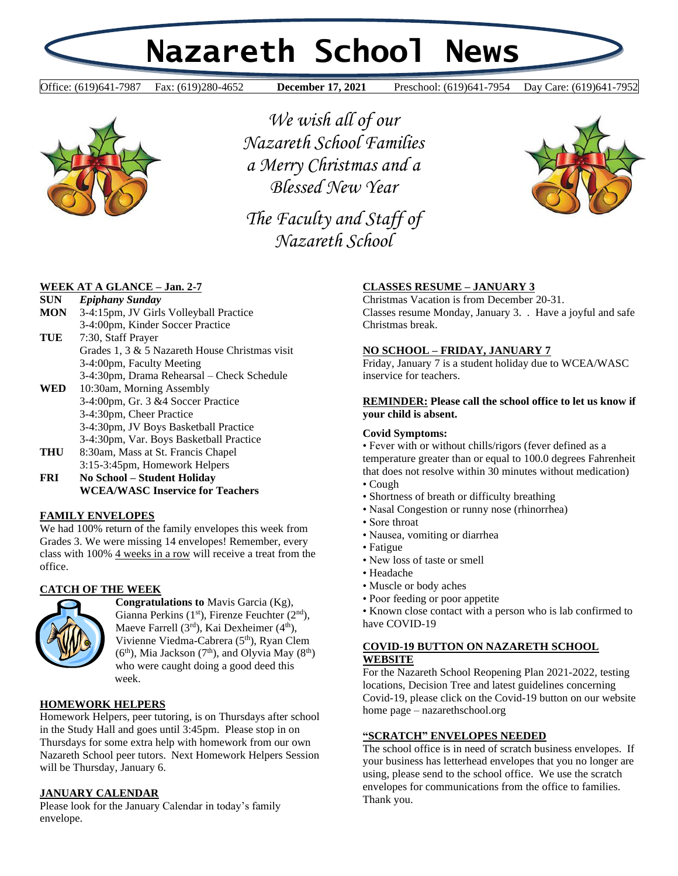# **Nazareth School News**

**December 17, 2021** 

Office: (619)641-7987 Fax: (619)280-4652 **December 17, 2021** Preschool: (619)641-7954 Day Care: (619)641-7952



*We wish all of our Nazareth School Families a Merry Christmas and a Blessed New Year*

*The Faculty and Staff of Nazareth School* 



### **WEEK AT A GLANCE – Jan. 2-7**

| <b>SUN</b> | <b>Epiphany Sunday</b>                         |
|------------|------------------------------------------------|
| <b>MON</b> | 3-4:15pm, JV Girls Volleyball Practice         |
|            | 3-4:00pm, Kinder Soccer Practice               |
| TUE        | 7:30, Staff Prayer                             |
|            | Grades 1, 3 & 5 Nazareth House Christmas visit |
|            | 3-4:00pm, Faculty Meeting                      |
|            | 3-4:30pm, Drama Rehearsal – Check Schedule     |
| WED        | 10:30am, Morning Assembly                      |
|            | 3-4:00pm, Gr. 3 & 4 Soccer Practice            |
|            | 3-4:30pm, Cheer Practice                       |
|            | 3-4:30pm, JV Boys Basketball Practice          |
|            | 3-4:30pm, Var. Boys Basketball Practice        |
| THU        | 8:30am, Mass at St. Francis Chapel             |
|            | 3:15-3:45pm, Homework Helpers                  |
| FRI        | No School – Student Holiday                    |
|            | WCEA/WASC Inservice for Teachers               |

#### **FAMILY ENVELOPES**

We had 100% return of the family envelopes this week from Grades 3. We were missing 14 envelopes! Remember, every class with 100% 4 weeks in a row will receive a treat from the office.

# **CATCH OF THE WEEK**



**Congratulations to** Mavis Garcia (Kg), Gianna Perkins  $(1<sup>st</sup>)$ , Firenze Feuchter  $(2<sup>nd</sup>)$ , Maeve Farrell  $(3<sup>rd</sup>)$ , Kai Dexheimer  $(4<sup>th</sup>)$ , Vivienne Viedma-Cabrera (5th), Ryan Clem  $(6<sup>th</sup>)$ , Mia Jackson (7<sup>th</sup>), and Olyvia May (8<sup>th</sup>) who were caught doing a good deed this week.

#### **HOMEWORK HELPERS**

Homework Helpers, peer tutoring, is on Thursdays after school in the Study Hall and goes until 3:45pm. Please stop in on Thursdays for some extra help with homework from our own Nazareth School peer tutors. Next Homework Helpers Session will be Thursday, January 6.

#### **JANUARY CALENDAR**

Please look for the January Calendar in today's family envelope.

# **CLASSES RESUME – JANUARY 3**

Christmas Vacation is from December 20-31. Classes resume Monday, January 3. . Have a joyful and safe Christmas break.

#### **NO SCHOOL – FRIDAY, JANUARY 7**

Friday, January 7 is a student holiday due to WCEA/WASC inservice for teachers.

#### **REMINDER: Please call the school office to let us know if your child is absent.**

#### **Covid Symptoms:**

• Fever with or without chills/rigors (fever defined as a temperature greater than or equal to 100.0 degrees Fahrenheit that does not resolve within 30 minutes without medication) • Cough

- Shortness of breath or difficulty breathing
- Nasal Congestion or runny nose (rhinorrhea)
- Sore throat
- Nausea, vomiting or diarrhea
- Fatigue
- New loss of taste or smell
- Headache
- Muscle or body aches
- Poor feeding or poor appetite

• Known close contact with a person who is lab confirmed to have COVID-19

# **COVID-19 BUTTON ON NAZARETH SCHOOL WEBSITE**

For the Nazareth School Reopening Plan 2021-2022, testing locations, Decision Tree and latest guidelines concerning Covid-19, please click on the Covid-19 button on our website home page – nazarethschool.org

#### **"SCRATCH" ENVELOPES NEEDED**

The school office is in need of scratch business envelopes. If your business has letterhead envelopes that you no longer are using, please send to the school office. We use the scratch envelopes for communications from the office to families. Thank you.